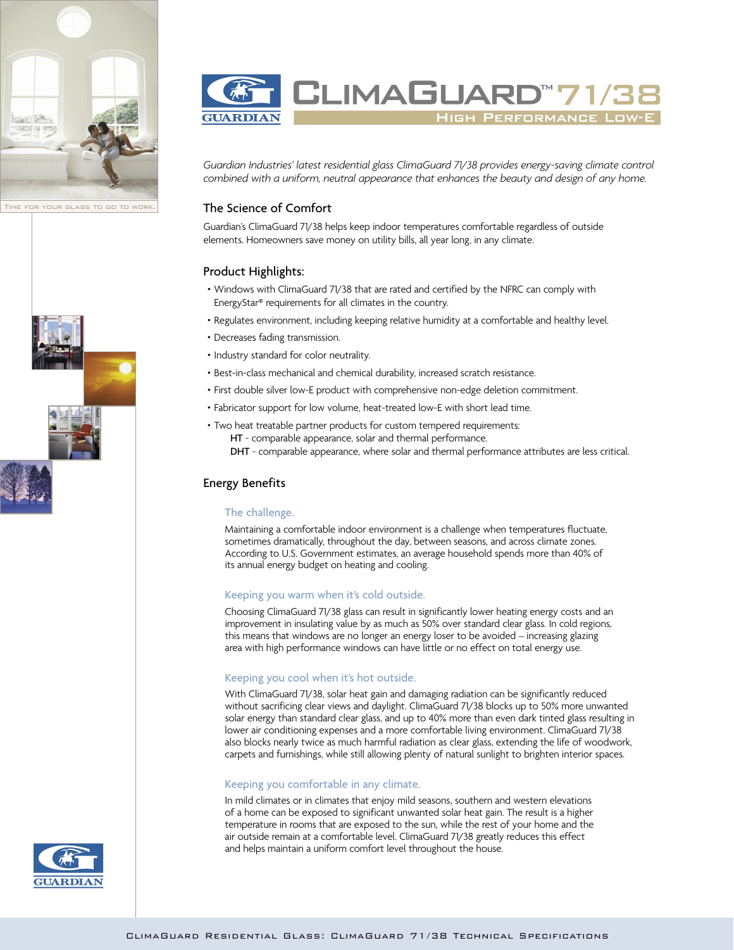







*Guardian Industries' latest residential glass ClimaGuard 71/38 provides energy-saving climate control combined with a uniform, neutral appearance that enhances the beauty and design of any home.*

# The Science of Comfort

Guardian's ClimaGuard 71/38 helps keep indoor temperatures comfortable regardless of outside elements. Homeowners save money on utility bills, all year long, in any climate.

# Product Highlights:

- Windows with ClimaGuard 71/38 that are rated and certified by the NFRC can comply with EnergyStar® requirements for all climates in the country.
- Regulates environment, including keeping relative humidity at a comfortable and healthy level.
- Decreases fading transmission.
- Industry standard for color neutrality.
- Best-in-class mechanical and chemical durability, increased scratch resistance.
- First double silver low-E product with comprehensive non-edge deletion commitment.
- Fabricator support for low volume, heat-treated low-E with short lead time.
- Two heat treatable partner products for custom tempered requirements: HT - comparable appearance, solar and thermal performance. DHT - comparable appearance, where solar and thermal performance attributes are less critical.

# Energy Benefits

#### The challenge.

Maintaining a comfortable indoor environment is a challenge when temperatures fluctuate, sometimes dramatically, throughout the day, between seasons, and across climate zones. According to U.S. Government estimates, an average household spends more than 40% of its annual energy budget on heating and cooling.

#### Keeping you warm when it's cold outside.

Choosing ClimaGuard 71/38 glass can result in significantly lower heating energy costs and an improvement in insulating value by as much as 50% over standard clear glass. In cold regions, this means that windows are no longer an energy loser to be avoided – increasing glazing area with high performance windows can have little or no effect on total energy use.

### Keeping you cool when it's hot outside.

With ClimaGuard 71/38, solar heat gain and damaging radiation can be significantly reduced without sacrificing clear views and daylight. ClimaGuard 71/38 blocks up to 50% more unwanted solar energy than standard clear glass, and up to 40% more than even dark tinted glass resulting in lower air conditioning expenses and a more comfortable living environment. ClimaGuard 71/38 also blocks nearly twice as much harmful radiation as clear glass, extending the life of woodwork, carpets and furnishings, while still allowing plenty of natural sunlight to brighten interior spaces.

#### Keeping you comfortable in any climate.

In mild climates or in climates that enjoy mild seasons, southern and western elevations of a home can be exposed to significant unwanted solar heat gain. The result is a higher temperature in rooms that are exposed to the sun, while the rest of your home and the air outside remain at a comfortable level. ClimaGuard 71/38 greatly reduces this effect and helps maintain a uniform comfort level throughout the house.